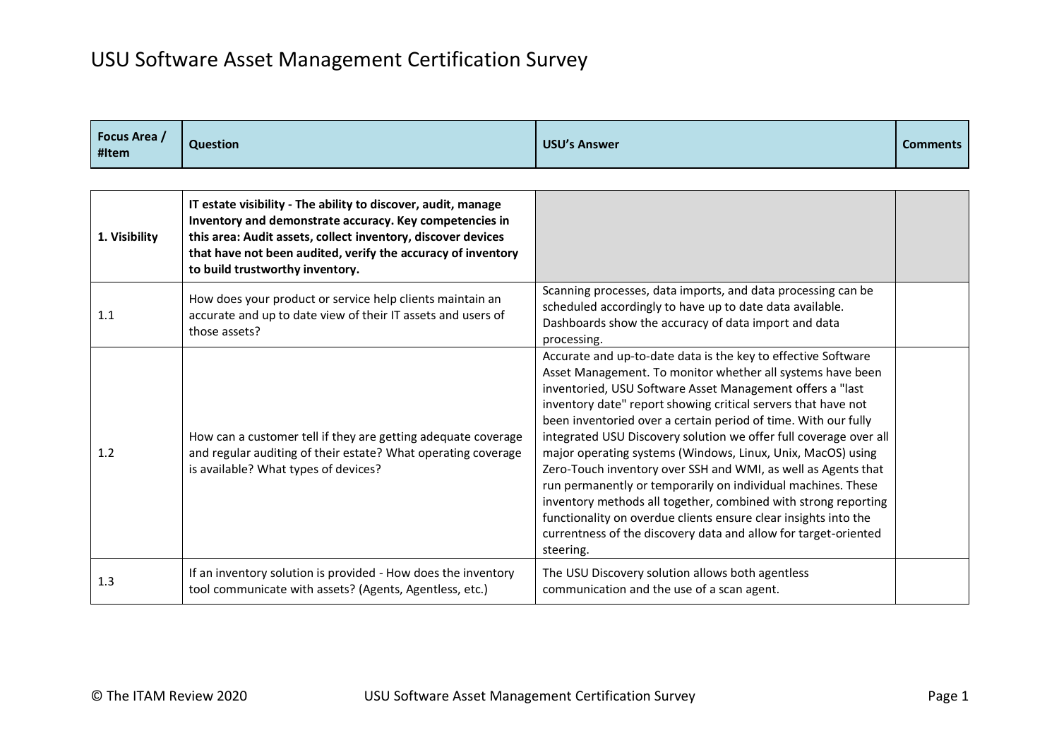| Focus Area /<br>#Item | <b>Question</b>                                                                                                                                                                                                                                                                             | <b>USU's Answer</b>                                                                                                                                                                                                                                                                                                                                                                                                                                                                                                                                                                                                                                                                                                                                                                                                   | <b>Comments</b> |
|-----------------------|---------------------------------------------------------------------------------------------------------------------------------------------------------------------------------------------------------------------------------------------------------------------------------------------|-----------------------------------------------------------------------------------------------------------------------------------------------------------------------------------------------------------------------------------------------------------------------------------------------------------------------------------------------------------------------------------------------------------------------------------------------------------------------------------------------------------------------------------------------------------------------------------------------------------------------------------------------------------------------------------------------------------------------------------------------------------------------------------------------------------------------|-----------------|
|                       |                                                                                                                                                                                                                                                                                             |                                                                                                                                                                                                                                                                                                                                                                                                                                                                                                                                                                                                                                                                                                                                                                                                                       |                 |
| 1. Visibility         | IT estate visibility - The ability to discover, audit, manage<br>Inventory and demonstrate accuracy. Key competencies in<br>this area: Audit assets, collect inventory, discover devices<br>that have not been audited, verify the accuracy of inventory<br>to build trustworthy inventory. |                                                                                                                                                                                                                                                                                                                                                                                                                                                                                                                                                                                                                                                                                                                                                                                                                       |                 |
| 1.1                   | How does your product or service help clients maintain an<br>accurate and up to date view of their IT assets and users of<br>those assets?                                                                                                                                                  | Scanning processes, data imports, and data processing can be<br>scheduled accordingly to have up to date data available.<br>Dashboards show the accuracy of data import and data<br>processing.                                                                                                                                                                                                                                                                                                                                                                                                                                                                                                                                                                                                                       |                 |
| 1.2                   | How can a customer tell if they are getting adequate coverage<br>and regular auditing of their estate? What operating coverage<br>is available? What types of devices?                                                                                                                      | Accurate and up-to-date data is the key to effective Software<br>Asset Management. To monitor whether all systems have been<br>inventoried, USU Software Asset Management offers a "last<br>inventory date" report showing critical servers that have not<br>been inventoried over a certain period of time. With our fully<br>integrated USU Discovery solution we offer full coverage over all<br>major operating systems (Windows, Linux, Unix, MacOS) using<br>Zero-Touch inventory over SSH and WMI, as well as Agents that<br>run permanently or temporarily on individual machines. These<br>inventory methods all together, combined with strong reporting<br>functionality on overdue clients ensure clear insights into the<br>currentness of the discovery data and allow for target-oriented<br>steering. |                 |
| 1.3                   | If an inventory solution is provided - How does the inventory<br>tool communicate with assets? (Agents, Agentless, etc.)                                                                                                                                                                    | The USU Discovery solution allows both agentless<br>communication and the use of a scan agent.                                                                                                                                                                                                                                                                                                                                                                                                                                                                                                                                                                                                                                                                                                                        |                 |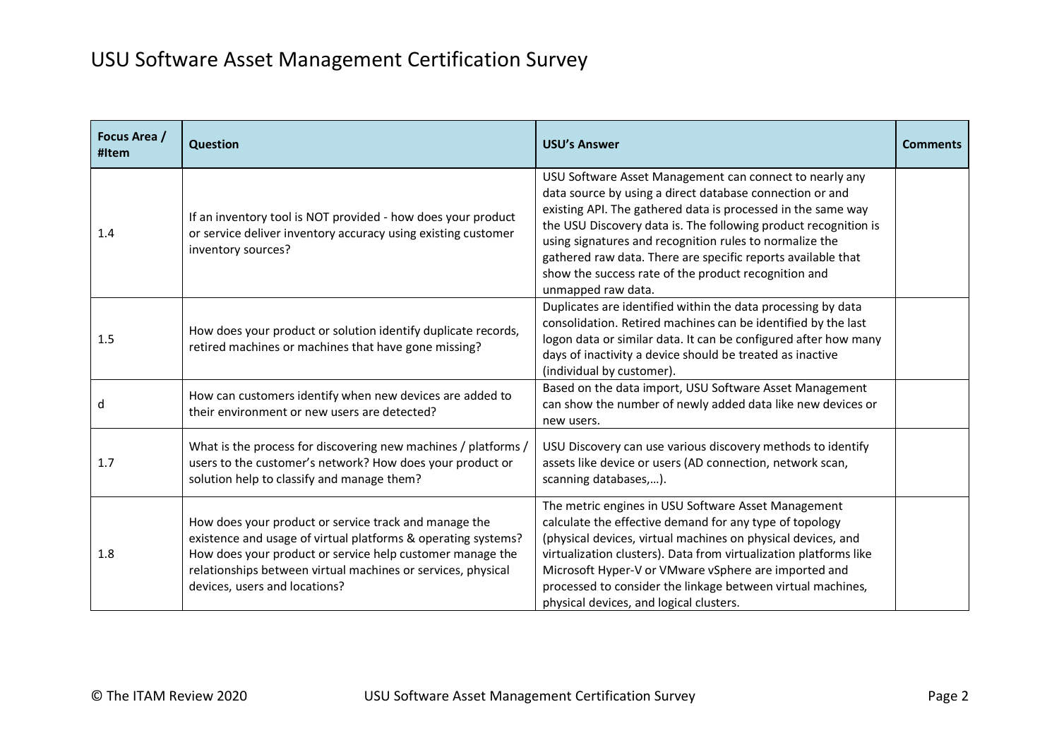| Focus Area /<br>#Item | <b>Question</b>                                                                                                                                                                                                                                                                      | <b>USU's Answer</b>                                                                                                                                                                                                                                                                                                                                                                                                                                             | <b>Comments</b> |
|-----------------------|--------------------------------------------------------------------------------------------------------------------------------------------------------------------------------------------------------------------------------------------------------------------------------------|-----------------------------------------------------------------------------------------------------------------------------------------------------------------------------------------------------------------------------------------------------------------------------------------------------------------------------------------------------------------------------------------------------------------------------------------------------------------|-----------------|
| 1.4                   | If an inventory tool is NOT provided - how does your product<br>or service deliver inventory accuracy using existing customer<br>inventory sources?                                                                                                                                  | USU Software Asset Management can connect to nearly any<br>data source by using a direct database connection or and<br>existing API. The gathered data is processed in the same way<br>the USU Discovery data is. The following product recognition is<br>using signatures and recognition rules to normalize the<br>gathered raw data. There are specific reports available that<br>show the success rate of the product recognition and<br>unmapped raw data. |                 |
| 1.5                   | How does your product or solution identify duplicate records,<br>retired machines or machines that have gone missing?                                                                                                                                                                | Duplicates are identified within the data processing by data<br>consolidation. Retired machines can be identified by the last<br>logon data or similar data. It can be configured after how many<br>days of inactivity a device should be treated as inactive<br>(individual by customer).                                                                                                                                                                      |                 |
| d                     | How can customers identify when new devices are added to<br>their environment or new users are detected?                                                                                                                                                                             | Based on the data import, USU Software Asset Management<br>can show the number of newly added data like new devices or<br>new users.                                                                                                                                                                                                                                                                                                                            |                 |
| 1.7                   | What is the process for discovering new machines / platforms /<br>users to the customer's network? How does your product or<br>solution help to classify and manage them?                                                                                                            | USU Discovery can use various discovery methods to identify<br>assets like device or users (AD connection, network scan,<br>scanning databases,).                                                                                                                                                                                                                                                                                                               |                 |
| 1.8                   | How does your product or service track and manage the<br>existence and usage of virtual platforms & operating systems?<br>How does your product or service help customer manage the<br>relationships between virtual machines or services, physical<br>devices, users and locations? | The metric engines in USU Software Asset Management<br>calculate the effective demand for any type of topology<br>(physical devices, virtual machines on physical devices, and<br>virtualization clusters). Data from virtualization platforms like<br>Microsoft Hyper-V or VMware vSphere are imported and<br>processed to consider the linkage between virtual machines,<br>physical devices, and logical clusters.                                           |                 |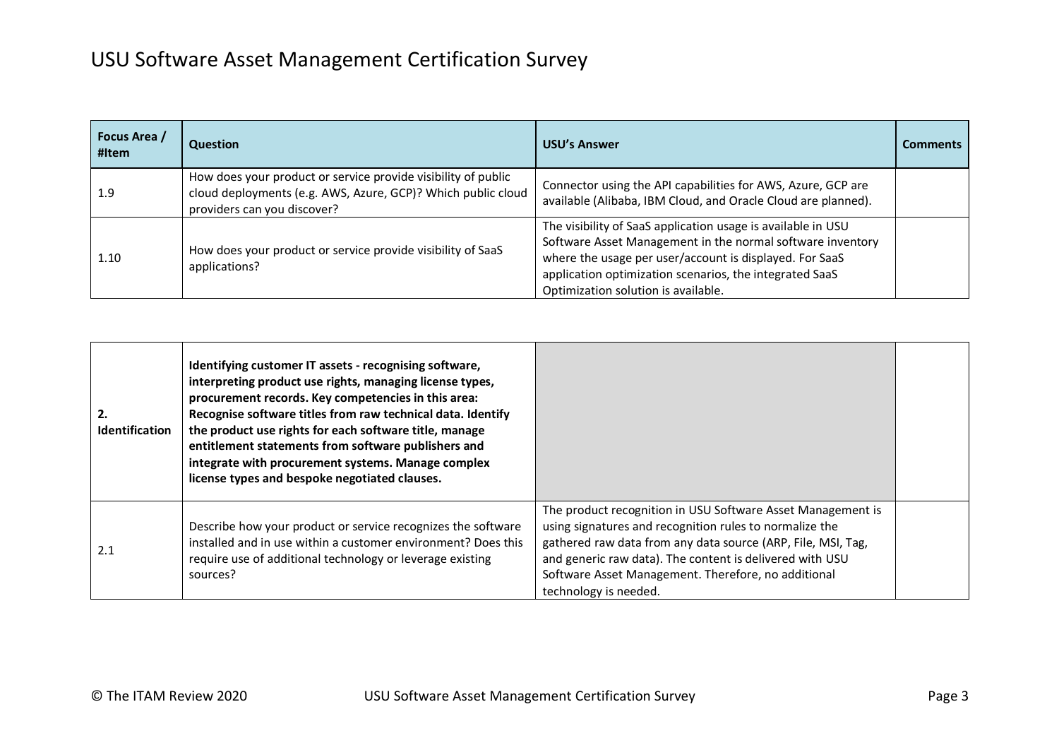| Focus Area /<br>#Item | <b>Question</b>                                                                                                                                              | <b>USU's Answer</b>                                                                                                                                                                                                                                                                     | <b>Comments</b> |
|-----------------------|--------------------------------------------------------------------------------------------------------------------------------------------------------------|-----------------------------------------------------------------------------------------------------------------------------------------------------------------------------------------------------------------------------------------------------------------------------------------|-----------------|
| 1.9                   | How does your product or service provide visibility of public<br>cloud deployments (e.g. AWS, Azure, GCP)? Which public cloud<br>providers can you discover? | Connector using the API capabilities for AWS, Azure, GCP are<br>available (Alibaba, IBM Cloud, and Oracle Cloud are planned).                                                                                                                                                           |                 |
| 1.10                  | How does your product or service provide visibility of SaaS<br>applications?                                                                                 | The visibility of SaaS application usage is available in USU<br>Software Asset Management in the normal software inventory<br>where the usage per user/account is displayed. For SaaS<br>application optimization scenarios, the integrated SaaS<br>Optimization solution is available. |                 |

| 2.<br><b>Identification</b> | Identifying customer IT assets - recognising software,<br>interpreting product use rights, managing license types,<br>procurement records. Key competencies in this area:<br>Recognise software titles from raw technical data. Identify<br>the product use rights for each software title, manage<br>entitlement statements from software publishers and<br>integrate with procurement systems. Manage complex<br>license types and bespoke negotiated clauses. |                                                                                                                                                                                                                                                                                                                                    |  |
|-----------------------------|------------------------------------------------------------------------------------------------------------------------------------------------------------------------------------------------------------------------------------------------------------------------------------------------------------------------------------------------------------------------------------------------------------------------------------------------------------------|------------------------------------------------------------------------------------------------------------------------------------------------------------------------------------------------------------------------------------------------------------------------------------------------------------------------------------|--|
| 2.1                         | Describe how your product or service recognizes the software<br>installed and in use within a customer environment? Does this<br>require use of additional technology or leverage existing<br>sources?                                                                                                                                                                                                                                                           | The product recognition in USU Software Asset Management is<br>using signatures and recognition rules to normalize the<br>gathered raw data from any data source (ARP, File, MSI, Tag,<br>and generic raw data). The content is delivered with USU<br>Software Asset Management. Therefore, no additional<br>technology is needed. |  |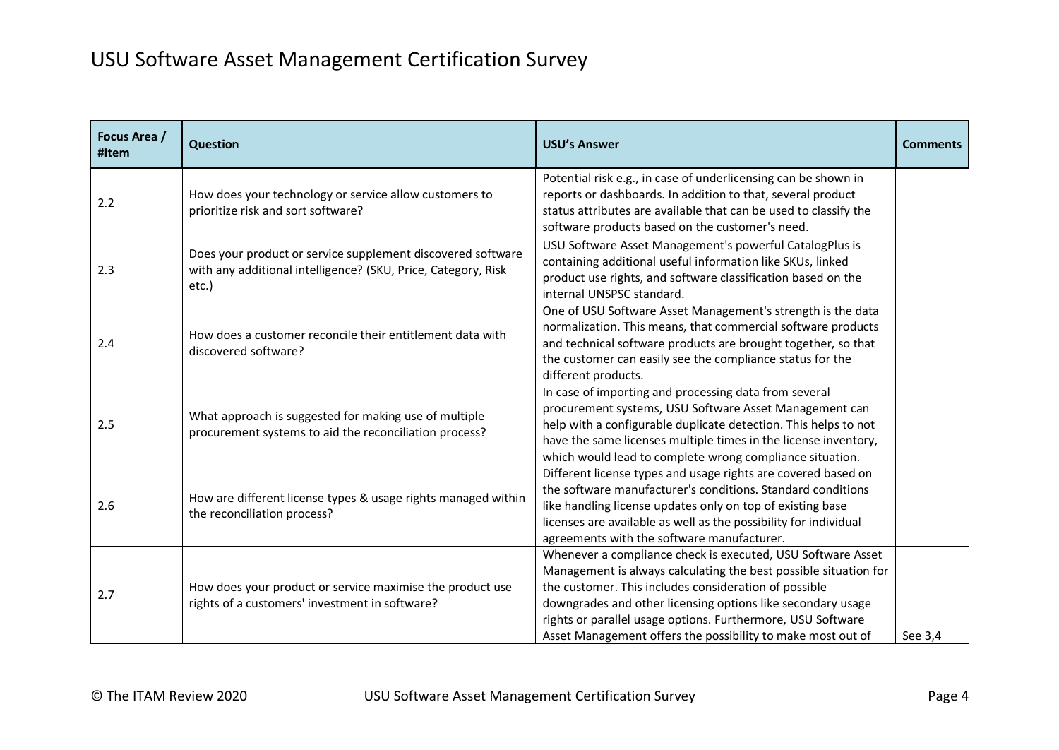| Focus Area /<br>#Item | <b>Question</b>                                                                                                                       | <b>USU's Answer</b>                                                                                                                                                                                                                                                                                                                                                                   | <b>Comments</b> |
|-----------------------|---------------------------------------------------------------------------------------------------------------------------------------|---------------------------------------------------------------------------------------------------------------------------------------------------------------------------------------------------------------------------------------------------------------------------------------------------------------------------------------------------------------------------------------|-----------------|
| 2.2                   | How does your technology or service allow customers to<br>prioritize risk and sort software?                                          | Potential risk e.g., in case of underlicensing can be shown in<br>reports or dashboards. In addition to that, several product<br>status attributes are available that can be used to classify the<br>software products based on the customer's need.                                                                                                                                  |                 |
| 2.3                   | Does your product or service supplement discovered software<br>with any additional intelligence? (SKU, Price, Category, Risk<br>etc.) | USU Software Asset Management's powerful CatalogPlus is<br>containing additional useful information like SKUs, linked<br>product use rights, and software classification based on the<br>internal UNSPSC standard.                                                                                                                                                                    |                 |
| 2.4                   | How does a customer reconcile their entitlement data with<br>discovered software?                                                     | One of USU Software Asset Management's strength is the data<br>normalization. This means, that commercial software products<br>and technical software products are brought together, so that<br>the customer can easily see the compliance status for the<br>different products.                                                                                                      |                 |
| 2.5                   | What approach is suggested for making use of multiple<br>procurement systems to aid the reconciliation process?                       | In case of importing and processing data from several<br>procurement systems, USU Software Asset Management can<br>help with a configurable duplicate detection. This helps to not<br>have the same licenses multiple times in the license inventory,<br>which would lead to complete wrong compliance situation.                                                                     |                 |
| 2.6                   | How are different license types & usage rights managed within<br>the reconciliation process?                                          | Different license types and usage rights are covered based on<br>the software manufacturer's conditions. Standard conditions<br>like handling license updates only on top of existing base<br>licenses are available as well as the possibility for individual<br>agreements with the software manufacturer.                                                                          |                 |
| 2.7                   | How does your product or service maximise the product use<br>rights of a customers' investment in software?                           | Whenever a compliance check is executed, USU Software Asset<br>Management is always calculating the best possible situation for<br>the customer. This includes consideration of possible<br>downgrades and other licensing options like secondary usage<br>rights or parallel usage options. Furthermore, USU Software<br>Asset Management offers the possibility to make most out of | See 3,4         |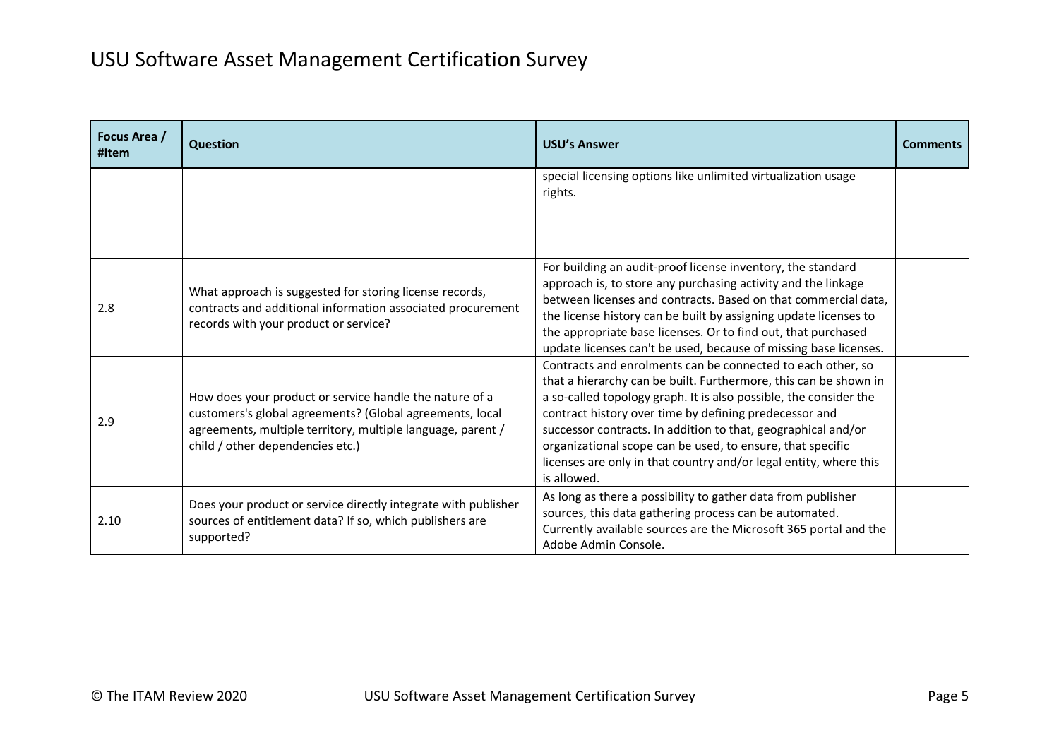| Focus Area /<br>#Item | <b>Question</b>                                                                                                                                                                                                        | <b>USU's Answer</b>                                                                                                                                                                                                                                                                                                                                                                                                                                                               | <b>Comments</b> |
|-----------------------|------------------------------------------------------------------------------------------------------------------------------------------------------------------------------------------------------------------------|-----------------------------------------------------------------------------------------------------------------------------------------------------------------------------------------------------------------------------------------------------------------------------------------------------------------------------------------------------------------------------------------------------------------------------------------------------------------------------------|-----------------|
|                       |                                                                                                                                                                                                                        | special licensing options like unlimited virtualization usage<br>rights.                                                                                                                                                                                                                                                                                                                                                                                                          |                 |
| 2.8                   | What approach is suggested for storing license records,<br>contracts and additional information associated procurement<br>records with your product or service?                                                        | For building an audit-proof license inventory, the standard<br>approach is, to store any purchasing activity and the linkage<br>between licenses and contracts. Based on that commercial data,<br>the license history can be built by assigning update licenses to<br>the appropriate base licenses. Or to find out, that purchased<br>update licenses can't be used, because of missing base licenses.                                                                           |                 |
| 2.9                   | How does your product or service handle the nature of a<br>customers's global agreements? (Global agreements, local<br>agreements, multiple territory, multiple language, parent /<br>child / other dependencies etc.) | Contracts and enrolments can be connected to each other, so<br>that a hierarchy can be built. Furthermore, this can be shown in<br>a so-called topology graph. It is also possible, the consider the<br>contract history over time by defining predecessor and<br>successor contracts. In addition to that, geographical and/or<br>organizational scope can be used, to ensure, that specific<br>licenses are only in that country and/or legal entity, where this<br>is allowed. |                 |
| 2.10                  | Does your product or service directly integrate with publisher<br>sources of entitlement data? If so, which publishers are<br>supported?                                                                               | As long as there a possibility to gather data from publisher<br>sources, this data gathering process can be automated.<br>Currently available sources are the Microsoft 365 portal and the<br>Adobe Admin Console.                                                                                                                                                                                                                                                                |                 |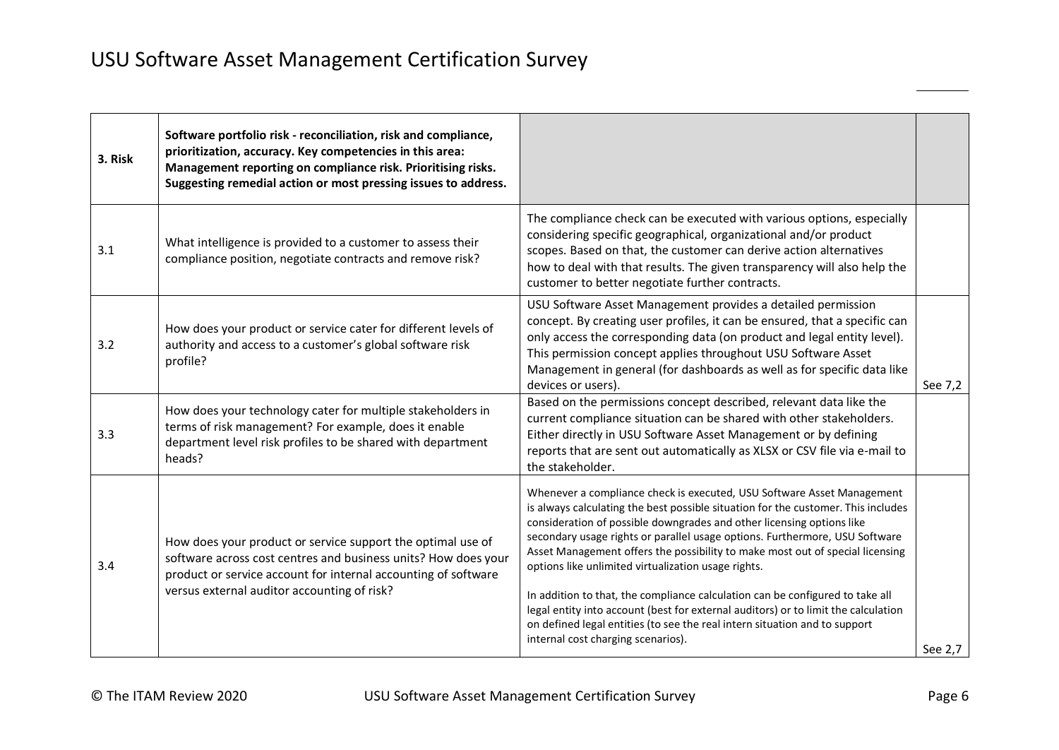| 3. Risk | Software portfolio risk - reconciliation, risk and compliance,<br>prioritization, accuracy. Key competencies in this area:<br>Management reporting on compliance risk. Prioritising risks.<br>Suggesting remedial action or most pressing issues to address. |                                                                                                                                                                                                                                                                                                                                                                                                                                                                                                                                                                                                                                                                                                                                                        |         |
|---------|--------------------------------------------------------------------------------------------------------------------------------------------------------------------------------------------------------------------------------------------------------------|--------------------------------------------------------------------------------------------------------------------------------------------------------------------------------------------------------------------------------------------------------------------------------------------------------------------------------------------------------------------------------------------------------------------------------------------------------------------------------------------------------------------------------------------------------------------------------------------------------------------------------------------------------------------------------------------------------------------------------------------------------|---------|
| 3.1     | What intelligence is provided to a customer to assess their<br>compliance position, negotiate contracts and remove risk?                                                                                                                                     | The compliance check can be executed with various options, especially<br>considering specific geographical, organizational and/or product<br>scopes. Based on that, the customer can derive action alternatives<br>how to deal with that results. The given transparency will also help the<br>customer to better negotiate further contracts.                                                                                                                                                                                                                                                                                                                                                                                                         |         |
| 3.2     | How does your product or service cater for different levels of<br>authority and access to a customer's global software risk<br>profile?                                                                                                                      | USU Software Asset Management provides a detailed permission<br>concept. By creating user profiles, it can be ensured, that a specific can<br>only access the corresponding data (on product and legal entity level).<br>This permission concept applies throughout USU Software Asset<br>Management in general (for dashboards as well as for specific data like<br>devices or users).                                                                                                                                                                                                                                                                                                                                                                | See 7,2 |
| 3.3     | How does your technology cater for multiple stakeholders in<br>terms of risk management? For example, does it enable<br>department level risk profiles to be shared with department<br>heads?                                                                | Based on the permissions concept described, relevant data like the<br>current compliance situation can be shared with other stakeholders.<br>Either directly in USU Software Asset Management or by defining<br>reports that are sent out automatically as XLSX or CSV file via e-mail to<br>the stakeholder.                                                                                                                                                                                                                                                                                                                                                                                                                                          |         |
| 3.4     | How does your product or service support the optimal use of<br>software across cost centres and business units? How does your<br>product or service account for internal accounting of software<br>versus external auditor accounting of risk?               | Whenever a compliance check is executed, USU Software Asset Management<br>is always calculating the best possible situation for the customer. This includes<br>consideration of possible downgrades and other licensing options like<br>secondary usage rights or parallel usage options. Furthermore, USU Software<br>Asset Management offers the possibility to make most out of special licensing<br>options like unlimited virtualization usage rights.<br>In addition to that, the compliance calculation can be configured to take all<br>legal entity into account (best for external auditors) or to limit the calculation<br>on defined legal entities (to see the real intern situation and to support<br>internal cost charging scenarios). | See 2,7 |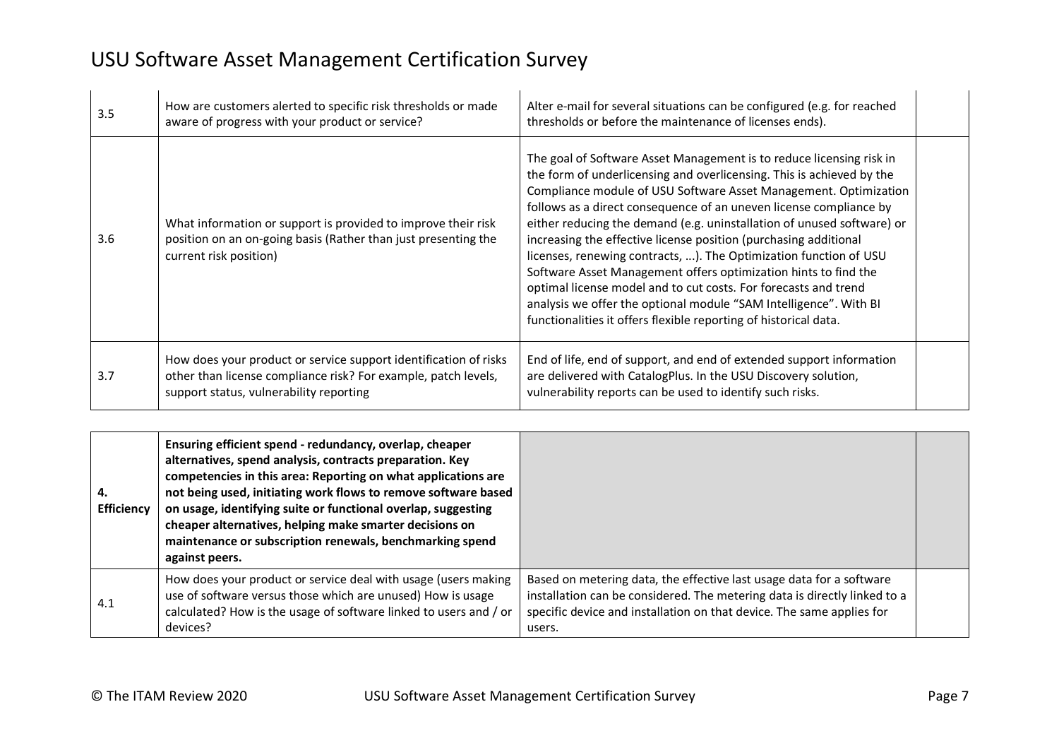| 3.5 | How are customers alerted to specific risk thresholds or made<br>aware of progress with your product or service?                                                              | Alter e-mail for several situations can be configured (e.g. for reached<br>thresholds or before the maintenance of licenses ends).                                                                                                                                                                                                                                                                                                                                                                                                                                                                                                                                                                                                                                                        |  |
|-----|-------------------------------------------------------------------------------------------------------------------------------------------------------------------------------|-------------------------------------------------------------------------------------------------------------------------------------------------------------------------------------------------------------------------------------------------------------------------------------------------------------------------------------------------------------------------------------------------------------------------------------------------------------------------------------------------------------------------------------------------------------------------------------------------------------------------------------------------------------------------------------------------------------------------------------------------------------------------------------------|--|
| 3.6 | What information or support is provided to improve their risk<br>position on an on-going basis (Rather than just presenting the<br>current risk position)                     | The goal of Software Asset Management is to reduce licensing risk in<br>the form of underlicensing and overlicensing. This is achieved by the<br>Compliance module of USU Software Asset Management. Optimization<br>follows as a direct consequence of an uneven license compliance by<br>either reducing the demand (e.g. uninstallation of unused software) or<br>increasing the effective license position (purchasing additional<br>licenses, renewing contracts, ). The Optimization function of USU<br>Software Asset Management offers optimization hints to find the<br>optimal license model and to cut costs. For forecasts and trend<br>analysis we offer the optional module "SAM Intelligence". With BI<br>functionalities it offers flexible reporting of historical data. |  |
| 3.7 | How does your product or service support identification of risks<br>other than license compliance risk? For example, patch levels,<br>support status, vulnerability reporting | End of life, end of support, and end of extended support information<br>are delivered with CatalogPlus. In the USU Discovery solution,<br>vulnerability reports can be used to identify such risks.                                                                                                                                                                                                                                                                                                                                                                                                                                                                                                                                                                                       |  |

| 4.<br><b>Efficiency</b> | Ensuring efficient spend - redundancy, overlap, cheaper<br>alternatives, spend analysis, contracts preparation. Key<br>competencies in this area: Reporting on what applications are<br>not being used, initiating work flows to remove software based<br>on usage, identifying suite or functional overlap, suggesting<br>cheaper alternatives, helping make smarter decisions on<br>maintenance or subscription renewals, benchmarking spend<br>against peers. |                                                                                                                                                                                                                                      |  |
|-------------------------|------------------------------------------------------------------------------------------------------------------------------------------------------------------------------------------------------------------------------------------------------------------------------------------------------------------------------------------------------------------------------------------------------------------------------------------------------------------|--------------------------------------------------------------------------------------------------------------------------------------------------------------------------------------------------------------------------------------|--|
| 4.1                     | How does your product or service deal with usage (users making<br>use of software versus those which are unused) How is usage<br>calculated? How is the usage of software linked to users and / or<br>devices?                                                                                                                                                                                                                                                   | Based on metering data, the effective last usage data for a software<br>installation can be considered. The metering data is directly linked to a<br>specific device and installation on that device. The same applies for<br>users. |  |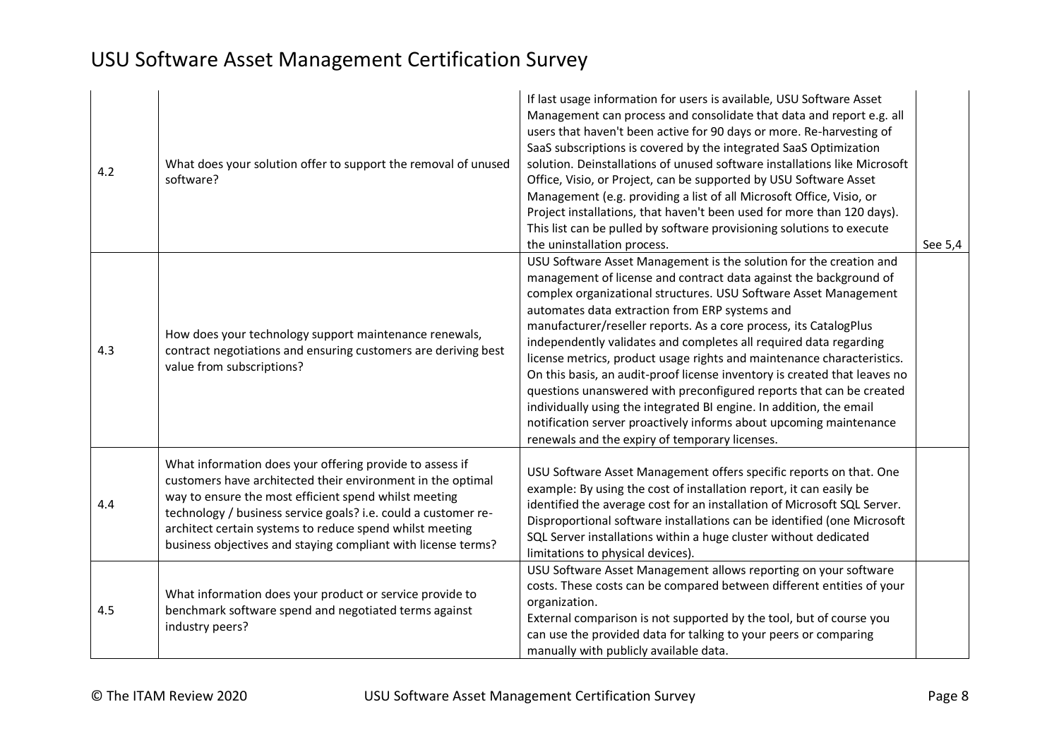| 4.2 | What does your solution offer to support the removal of unused<br>software?                                                                                                                                                                                                                                                                                                     | If last usage information for users is available, USU Software Asset<br>Management can process and consolidate that data and report e.g. all<br>users that haven't been active for 90 days or more. Re-harvesting of<br>SaaS subscriptions is covered by the integrated SaaS Optimization<br>solution. Deinstallations of unused software installations like Microsoft<br>Office, Visio, or Project, can be supported by USU Software Asset<br>Management (e.g. providing a list of all Microsoft Office, Visio, or<br>Project installations, that haven't been used for more than 120 days).<br>This list can be pulled by software provisioning solutions to execute<br>the uninstallation process.                                                                                                                                | See 5,4 |
|-----|---------------------------------------------------------------------------------------------------------------------------------------------------------------------------------------------------------------------------------------------------------------------------------------------------------------------------------------------------------------------------------|--------------------------------------------------------------------------------------------------------------------------------------------------------------------------------------------------------------------------------------------------------------------------------------------------------------------------------------------------------------------------------------------------------------------------------------------------------------------------------------------------------------------------------------------------------------------------------------------------------------------------------------------------------------------------------------------------------------------------------------------------------------------------------------------------------------------------------------|---------|
| 4.3 | How does your technology support maintenance renewals,<br>contract negotiations and ensuring customers are deriving best<br>value from subscriptions?                                                                                                                                                                                                                           | USU Software Asset Management is the solution for the creation and<br>management of license and contract data against the background of<br>complex organizational structures. USU Software Asset Management<br>automates data extraction from ERP systems and<br>manufacturer/reseller reports. As a core process, its CatalogPlus<br>independently validates and completes all required data regarding<br>license metrics, product usage rights and maintenance characteristics.<br>On this basis, an audit-proof license inventory is created that leaves no<br>questions unanswered with preconfigured reports that can be created<br>individually using the integrated BI engine. In addition, the email<br>notification server proactively informs about upcoming maintenance<br>renewals and the expiry of temporary licenses. |         |
| 4.4 | What information does your offering provide to assess if<br>customers have architected their environment in the optimal<br>way to ensure the most efficient spend whilst meeting<br>technology / business service goals? i.e. could a customer re-<br>architect certain systems to reduce spend whilst meeting<br>business objectives and staying compliant with license terms? | USU Software Asset Management offers specific reports on that. One<br>example: By using the cost of installation report, it can easily be<br>identified the average cost for an installation of Microsoft SQL Server.<br>Disproportional software installations can be identified (one Microsoft<br>SQL Server installations within a huge cluster without dedicated<br>limitations to physical devices).                                                                                                                                                                                                                                                                                                                                                                                                                            |         |
| 4.5 | What information does your product or service provide to<br>benchmark software spend and negotiated terms against<br>industry peers?                                                                                                                                                                                                                                            | USU Software Asset Management allows reporting on your software<br>costs. These costs can be compared between different entities of your<br>organization.<br>External comparison is not supported by the tool, but of course you<br>can use the provided data for talking to your peers or comparing<br>manually with publicly available data.                                                                                                                                                                                                                                                                                                                                                                                                                                                                                       |         |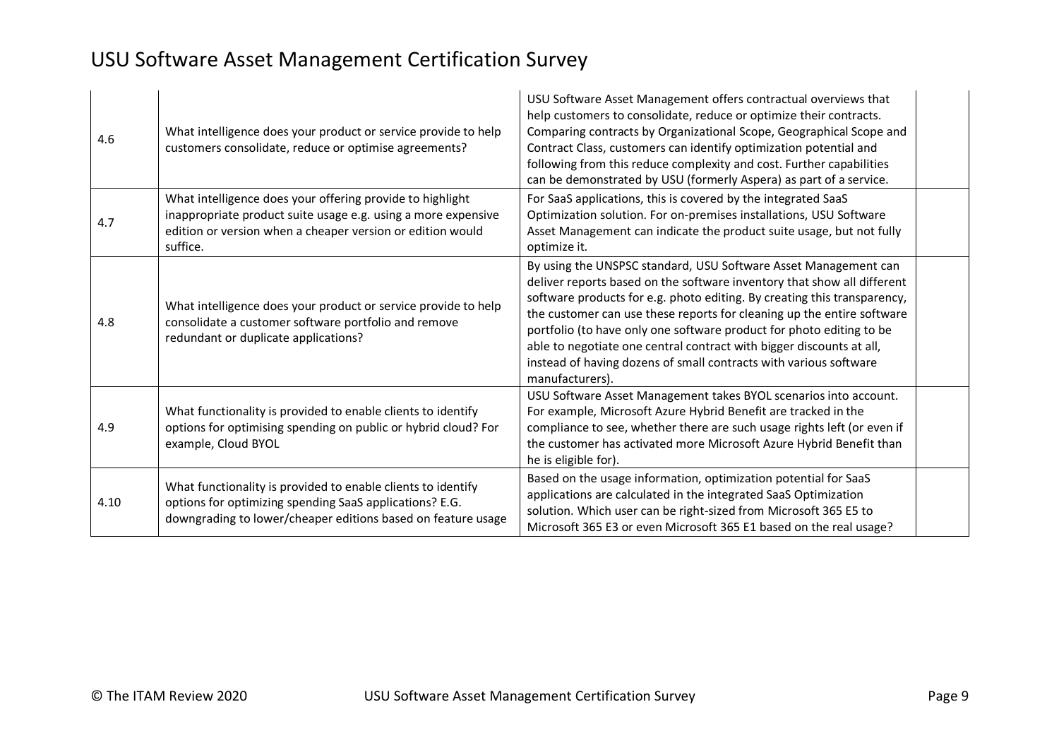| 4.6  | What intelligence does your product or service provide to help<br>customers consolidate, reduce or optimise agreements?                                                                              | USU Software Asset Management offers contractual overviews that<br>help customers to consolidate, reduce or optimize their contracts.<br>Comparing contracts by Organizational Scope, Geographical Scope and<br>Contract Class, customers can identify optimization potential and<br>following from this reduce complexity and cost. Further capabilities<br>can be demonstrated by USU (formerly Aspera) as part of a service.                                                                                                          |
|------|------------------------------------------------------------------------------------------------------------------------------------------------------------------------------------------------------|------------------------------------------------------------------------------------------------------------------------------------------------------------------------------------------------------------------------------------------------------------------------------------------------------------------------------------------------------------------------------------------------------------------------------------------------------------------------------------------------------------------------------------------|
| 4.7  | What intelligence does your offering provide to highlight<br>inappropriate product suite usage e.g. using a more expensive<br>edition or version when a cheaper version or edition would<br>suffice. | For SaaS applications, this is covered by the integrated SaaS<br>Optimization solution. For on-premises installations, USU Software<br>Asset Management can indicate the product suite usage, but not fully<br>optimize it.                                                                                                                                                                                                                                                                                                              |
| 4.8  | What intelligence does your product or service provide to help<br>consolidate a customer software portfolio and remove<br>redundant or duplicate applications?                                       | By using the UNSPSC standard, USU Software Asset Management can<br>deliver reports based on the software inventory that show all different<br>software products for e.g. photo editing. By creating this transparency,<br>the customer can use these reports for cleaning up the entire software<br>portfolio (to have only one software product for photo editing to be<br>able to negotiate one central contract with bigger discounts at all,<br>instead of having dozens of small contracts with various software<br>manufacturers). |
| 4.9  | What functionality is provided to enable clients to identify<br>options for optimising spending on public or hybrid cloud? For<br>example, Cloud BYOL                                                | USU Software Asset Management takes BYOL scenarios into account.<br>For example, Microsoft Azure Hybrid Benefit are tracked in the<br>compliance to see, whether there are such usage rights left (or even if<br>the customer has activated more Microsoft Azure Hybrid Benefit than<br>he is eligible for).                                                                                                                                                                                                                             |
| 4.10 | What functionality is provided to enable clients to identify<br>options for optimizing spending SaaS applications? E.G.<br>downgrading to lower/cheaper editions based on feature usage              | Based on the usage information, optimization potential for SaaS<br>applications are calculated in the integrated SaaS Optimization<br>solution. Which user can be right-sized from Microsoft 365 E5 to<br>Microsoft 365 E3 or even Microsoft 365 E1 based on the real usage?                                                                                                                                                                                                                                                             |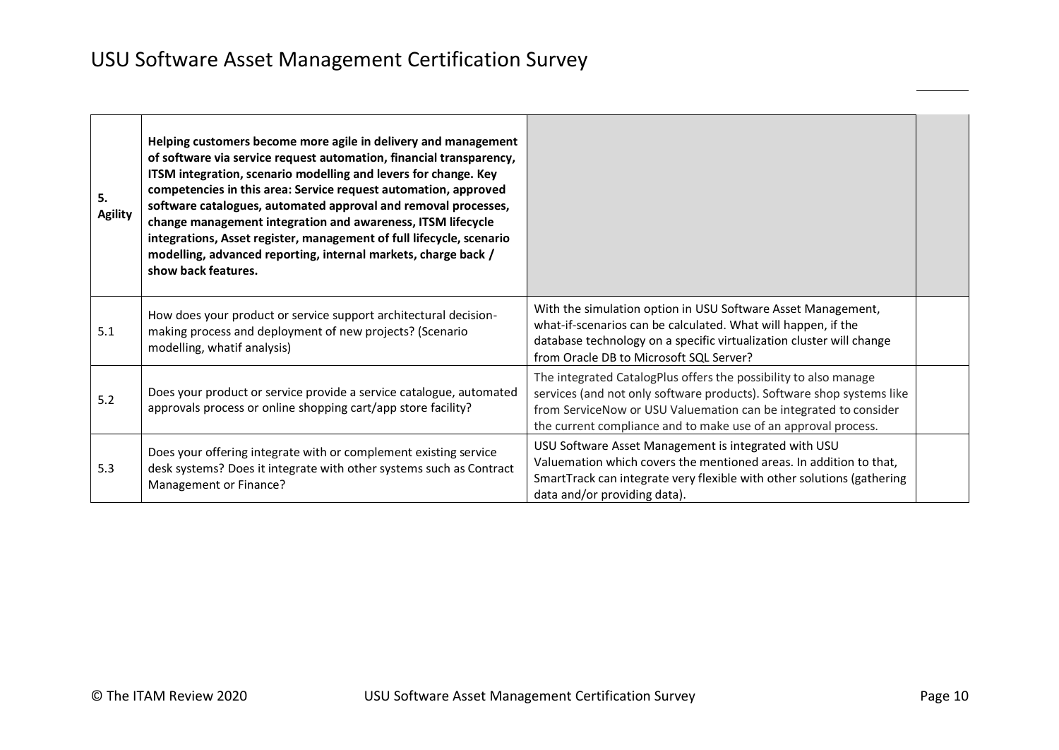| 5.<br><b>Agility</b> | Helping customers become more agile in delivery and management<br>of software via service request automation, financial transparency,<br>ITSM integration, scenario modelling and levers for change. Key<br>competencies in this area: Service request automation, approved<br>software catalogues, automated approval and removal processes,<br>change management integration and awareness, ITSM lifecycle<br>integrations, Asset register, management of full lifecycle, scenario<br>modelling, advanced reporting, internal markets, charge back /<br>show back features. |                                                                                                                                                                                                                                                                                 |  |
|----------------------|-------------------------------------------------------------------------------------------------------------------------------------------------------------------------------------------------------------------------------------------------------------------------------------------------------------------------------------------------------------------------------------------------------------------------------------------------------------------------------------------------------------------------------------------------------------------------------|---------------------------------------------------------------------------------------------------------------------------------------------------------------------------------------------------------------------------------------------------------------------------------|--|
| 5.1                  | How does your product or service support architectural decision-<br>making process and deployment of new projects? (Scenario<br>modelling, whatif analysis)                                                                                                                                                                                                                                                                                                                                                                                                                   | With the simulation option in USU Software Asset Management,<br>what-if-scenarios can be calculated. What will happen, if the<br>database technology on a specific virtualization cluster will change<br>from Oracle DB to Microsoft SQL Server?                                |  |
| 5.2                  | Does your product or service provide a service catalogue, automated<br>approvals process or online shopping cart/app store facility?                                                                                                                                                                                                                                                                                                                                                                                                                                          | The integrated CatalogPlus offers the possibility to also manage<br>services (and not only software products). Software shop systems like<br>from ServiceNow or USU Valuemation can be integrated to consider<br>the current compliance and to make use of an approval process. |  |
| 5.3                  | Does your offering integrate with or complement existing service<br>desk systems? Does it integrate with other systems such as Contract<br>Management or Finance?                                                                                                                                                                                                                                                                                                                                                                                                             | USU Software Asset Management is integrated with USU<br>Valuemation which covers the mentioned areas. In addition to that,<br>SmartTrack can integrate very flexible with other solutions (gathering<br>data and/or providing data).                                            |  |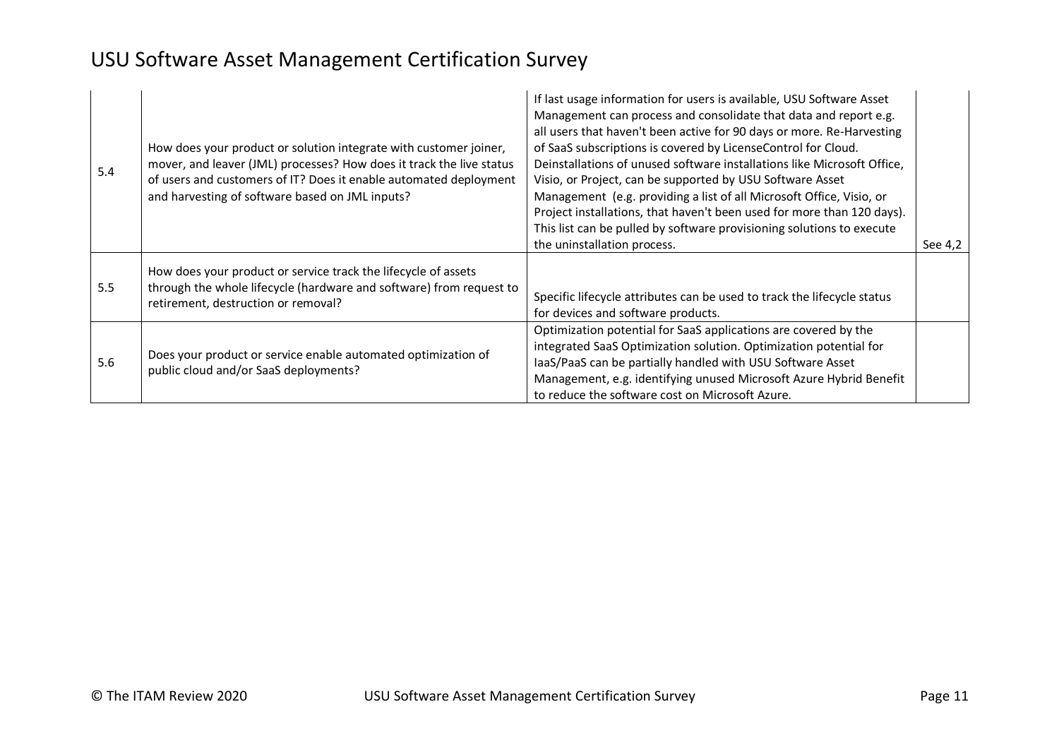| 5.4 | How does your product or solution integrate with customer joiner,<br>mover, and leaver (JML) processes? How does it track the live status<br>of users and customers of IT? Does it enable automated deployment<br>and harvesting of software based on JML inputs? | If last usage information for users is available, USU Software Asset<br>Management can process and consolidate that data and report e.g.<br>all users that haven't been active for 90 days or more. Re-Harvesting<br>of SaaS subscriptions is covered by LicenseControl for Cloud.<br>Deinstallations of unused software installations like Microsoft Office,<br>Visio, or Project, can be supported by USU Software Asset<br>Management (e.g. providing a list of all Microsoft Office, Visio, or<br>Project installations, that haven't been used for more than 120 days).<br>This list can be pulled by software provisioning solutions to execute<br>the uninstallation process. | See 4,2 |
|-----|-------------------------------------------------------------------------------------------------------------------------------------------------------------------------------------------------------------------------------------------------------------------|--------------------------------------------------------------------------------------------------------------------------------------------------------------------------------------------------------------------------------------------------------------------------------------------------------------------------------------------------------------------------------------------------------------------------------------------------------------------------------------------------------------------------------------------------------------------------------------------------------------------------------------------------------------------------------------|---------|
| 5.5 | How does your product or service track the lifecycle of assets<br>through the whole lifecycle (hardware and software) from request to<br>retirement, destruction or removal?                                                                                      | Specific lifecycle attributes can be used to track the lifecycle status<br>for devices and software products.                                                                                                                                                                                                                                                                                                                                                                                                                                                                                                                                                                        |         |
| 5.6 | Does your product or service enable automated optimization of<br>public cloud and/or SaaS deployments?                                                                                                                                                            | Optimization potential for SaaS applications are covered by the<br>integrated SaaS Optimization solution. Optimization potential for<br>IaaS/PaaS can be partially handled with USU Software Asset<br>Management, e.g. identifying unused Microsoft Azure Hybrid Benefit<br>to reduce the software cost on Microsoft Azure.                                                                                                                                                                                                                                                                                                                                                          |         |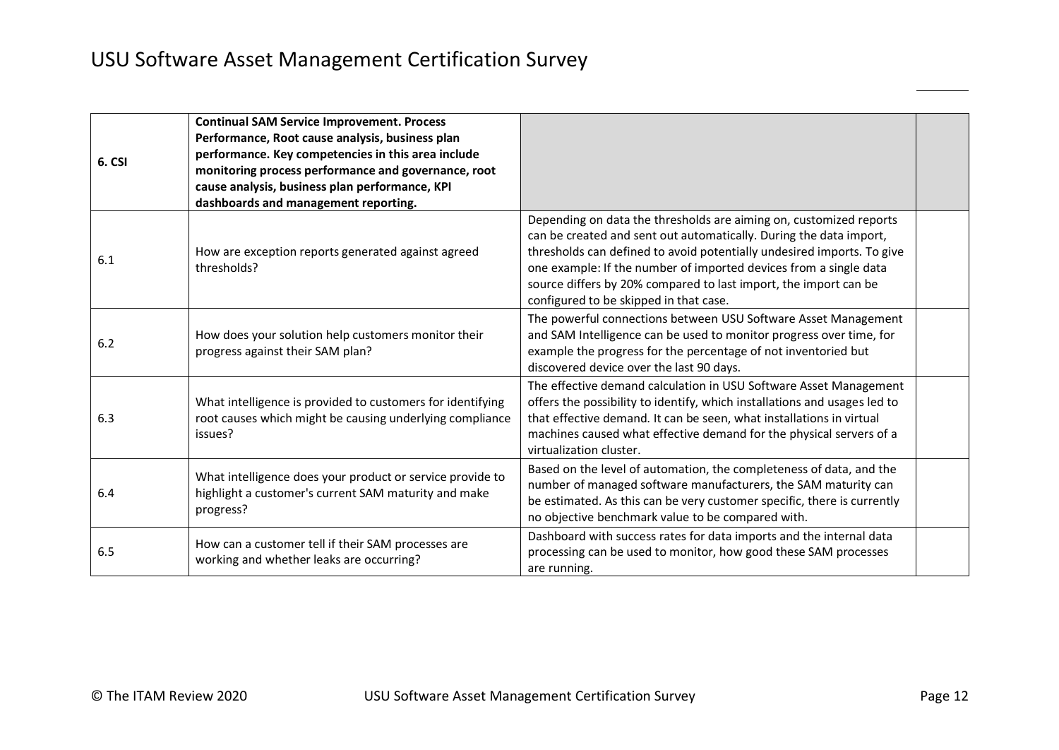| 6. CSI | <b>Continual SAM Service Improvement. Process</b><br>Performance, Root cause analysis, business plan<br>performance. Key competencies in this area include<br>monitoring process performance and governance, root<br>cause analysis, business plan performance, KPI<br>dashboards and management reporting. |                                                                                                                                                                                                                                                                                                                                                                                                       |  |
|--------|-------------------------------------------------------------------------------------------------------------------------------------------------------------------------------------------------------------------------------------------------------------------------------------------------------------|-------------------------------------------------------------------------------------------------------------------------------------------------------------------------------------------------------------------------------------------------------------------------------------------------------------------------------------------------------------------------------------------------------|--|
| 6.1    | How are exception reports generated against agreed<br>thresholds?                                                                                                                                                                                                                                           | Depending on data the thresholds are aiming on, customized reports<br>can be created and sent out automatically. During the data import,<br>thresholds can defined to avoid potentially undesired imports. To give<br>one example: If the number of imported devices from a single data<br>source differs by 20% compared to last import, the import can be<br>configured to be skipped in that case. |  |
| 6.2    | How does your solution help customers monitor their<br>progress against their SAM plan?                                                                                                                                                                                                                     | The powerful connections between USU Software Asset Management<br>and SAM Intelligence can be used to monitor progress over time, for<br>example the progress for the percentage of not inventoried but<br>discovered device over the last 90 days.                                                                                                                                                   |  |
| 6.3    | What intelligence is provided to customers for identifying<br>root causes which might be causing underlying compliance<br>issues?                                                                                                                                                                           | The effective demand calculation in USU Software Asset Management<br>offers the possibility to identify, which installations and usages led to<br>that effective demand. It can be seen, what installations in virtual<br>machines caused what effective demand for the physical servers of a<br>virtualization cluster.                                                                              |  |
| 6.4    | What intelligence does your product or service provide to<br>highlight a customer's current SAM maturity and make<br>progress?                                                                                                                                                                              | Based on the level of automation, the completeness of data, and the<br>number of managed software manufacturers, the SAM maturity can<br>be estimated. As this can be very customer specific, there is currently<br>no objective benchmark value to be compared with.                                                                                                                                 |  |
| 6.5    | How can a customer tell if their SAM processes are<br>working and whether leaks are occurring?                                                                                                                                                                                                              | Dashboard with success rates for data imports and the internal data<br>processing can be used to monitor, how good these SAM processes<br>are running.                                                                                                                                                                                                                                                |  |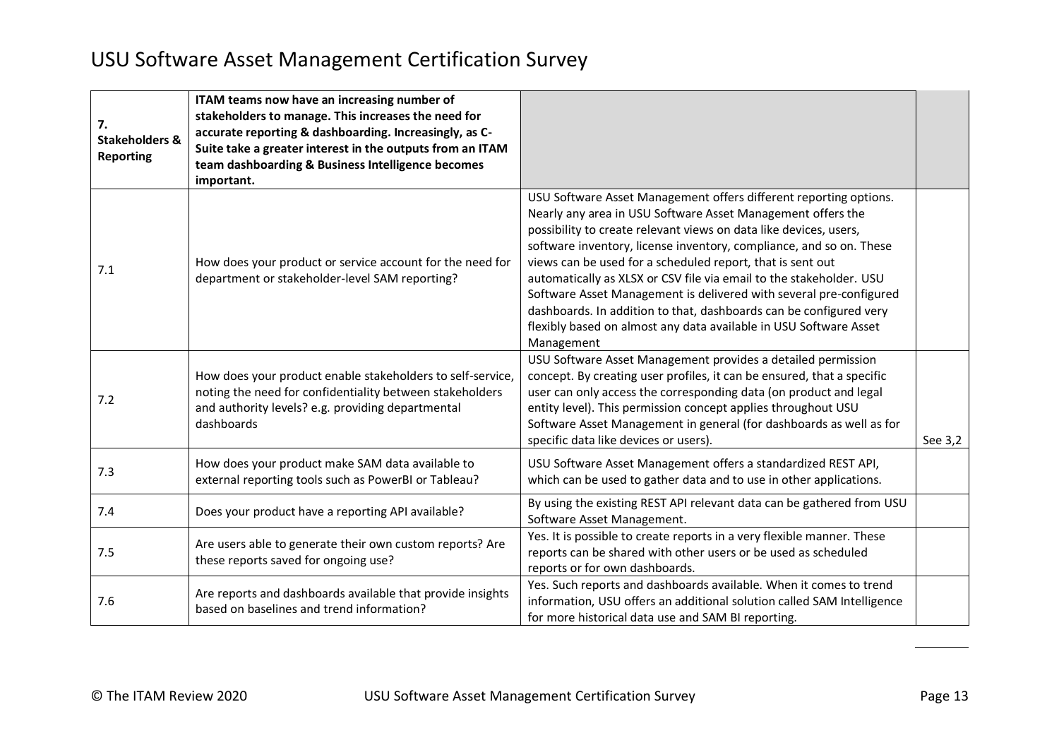| 7.<br><b>Stakeholders &amp;</b><br><b>Reporting</b> | ITAM teams now have an increasing number of<br>stakeholders to manage. This increases the need for<br>accurate reporting & dashboarding. Increasingly, as C-<br>Suite take a greater interest in the outputs from an ITAM<br>team dashboarding & Business Intelligence becomes<br>important. |                                                                                                                                                                                                                                                                                                                                                                                                                                                                                                                                                                                                                                                  |         |
|-----------------------------------------------------|----------------------------------------------------------------------------------------------------------------------------------------------------------------------------------------------------------------------------------------------------------------------------------------------|--------------------------------------------------------------------------------------------------------------------------------------------------------------------------------------------------------------------------------------------------------------------------------------------------------------------------------------------------------------------------------------------------------------------------------------------------------------------------------------------------------------------------------------------------------------------------------------------------------------------------------------------------|---------|
| 7.1                                                 | How does your product or service account for the need for<br>department or stakeholder-level SAM reporting?                                                                                                                                                                                  | USU Software Asset Management offers different reporting options.<br>Nearly any area in USU Software Asset Management offers the<br>possibility to create relevant views on data like devices, users,<br>software inventory, license inventory, compliance, and so on. These<br>views can be used for a scheduled report, that is sent out<br>automatically as XLSX or CSV file via email to the stakeholder. USU<br>Software Asset Management is delivered with several pre-configured<br>dashboards. In addition to that, dashboards can be configured very<br>flexibly based on almost any data available in USU Software Asset<br>Management |         |
| 7.2                                                 | How does your product enable stakeholders to self-service,<br>noting the need for confidentiality between stakeholders<br>and authority levels? e.g. providing departmental<br>dashboards                                                                                                    | USU Software Asset Management provides a detailed permission<br>concept. By creating user profiles, it can be ensured, that a specific<br>user can only access the corresponding data (on product and legal<br>entity level). This permission concept applies throughout USU<br>Software Asset Management in general (for dashboards as well as for<br>specific data like devices or users).                                                                                                                                                                                                                                                     | See 3,2 |
| 7.3                                                 | How does your product make SAM data available to<br>external reporting tools such as PowerBI or Tableau?                                                                                                                                                                                     | USU Software Asset Management offers a standardized REST API,<br>which can be used to gather data and to use in other applications.                                                                                                                                                                                                                                                                                                                                                                                                                                                                                                              |         |
| 7.4                                                 | Does your product have a reporting API available?                                                                                                                                                                                                                                            | By using the existing REST API relevant data can be gathered from USU<br>Software Asset Management.                                                                                                                                                                                                                                                                                                                                                                                                                                                                                                                                              |         |
| 7.5                                                 | Are users able to generate their own custom reports? Are<br>these reports saved for ongoing use?                                                                                                                                                                                             | Yes. It is possible to create reports in a very flexible manner. These<br>reports can be shared with other users or be used as scheduled<br>reports or for own dashboards.                                                                                                                                                                                                                                                                                                                                                                                                                                                                       |         |
| 7.6                                                 | Are reports and dashboards available that provide insights<br>based on baselines and trend information?                                                                                                                                                                                      | Yes. Such reports and dashboards available. When it comes to trend<br>information, USU offers an additional solution called SAM Intelligence<br>for more historical data use and SAM BI reporting.                                                                                                                                                                                                                                                                                                                                                                                                                                               |         |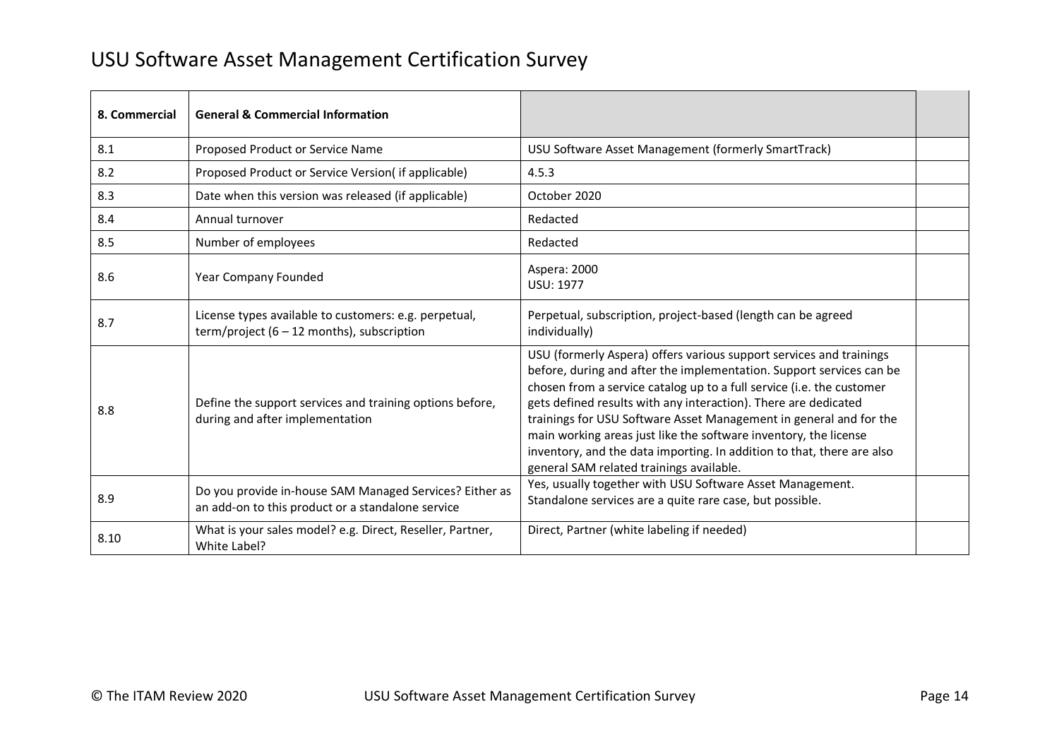| 8. Commercial | <b>General &amp; Commercial Information</b>                                                                  |                                                                                                                                                                                                                                                                                                                                                                                                                                                                                                                                                         |  |
|---------------|--------------------------------------------------------------------------------------------------------------|---------------------------------------------------------------------------------------------------------------------------------------------------------------------------------------------------------------------------------------------------------------------------------------------------------------------------------------------------------------------------------------------------------------------------------------------------------------------------------------------------------------------------------------------------------|--|
| 8.1           | Proposed Product or Service Name                                                                             | USU Software Asset Management (formerly SmartTrack)                                                                                                                                                                                                                                                                                                                                                                                                                                                                                                     |  |
| 8.2           | Proposed Product or Service Version(if applicable)                                                           | 4.5.3                                                                                                                                                                                                                                                                                                                                                                                                                                                                                                                                                   |  |
| 8.3           | Date when this version was released (if applicable)                                                          | October 2020                                                                                                                                                                                                                                                                                                                                                                                                                                                                                                                                            |  |
| 8.4           | Annual turnover                                                                                              | Redacted                                                                                                                                                                                                                                                                                                                                                                                                                                                                                                                                                |  |
| 8.5           | Number of employees                                                                                          | Redacted                                                                                                                                                                                                                                                                                                                                                                                                                                                                                                                                                |  |
| 8.6           | Year Company Founded                                                                                         | Aspera: 2000<br><b>USU: 1977</b>                                                                                                                                                                                                                                                                                                                                                                                                                                                                                                                        |  |
| 8.7           | License types available to customers: e.g. perpetual,<br>term/project $(6 - 12$ months), subscription        | Perpetual, subscription, project-based (length can be agreed<br>individually)                                                                                                                                                                                                                                                                                                                                                                                                                                                                           |  |
| 8.8           | Define the support services and training options before,<br>during and after implementation                  | USU (formerly Aspera) offers various support services and trainings<br>before, during and after the implementation. Support services can be<br>chosen from a service catalog up to a full service (i.e. the customer<br>gets defined results with any interaction). There are dedicated<br>trainings for USU Software Asset Management in general and for the<br>main working areas just like the software inventory, the license<br>inventory, and the data importing. In addition to that, there are also<br>general SAM related trainings available. |  |
| 8.9           | Do you provide in-house SAM Managed Services? Either as<br>an add-on to this product or a standalone service | Yes, usually together with USU Software Asset Management.<br>Standalone services are a quite rare case, but possible.                                                                                                                                                                                                                                                                                                                                                                                                                                   |  |
| 8.10          | What is your sales model? e.g. Direct, Reseller, Partner,<br>White Label?                                    | Direct, Partner (white labeling if needed)                                                                                                                                                                                                                                                                                                                                                                                                                                                                                                              |  |